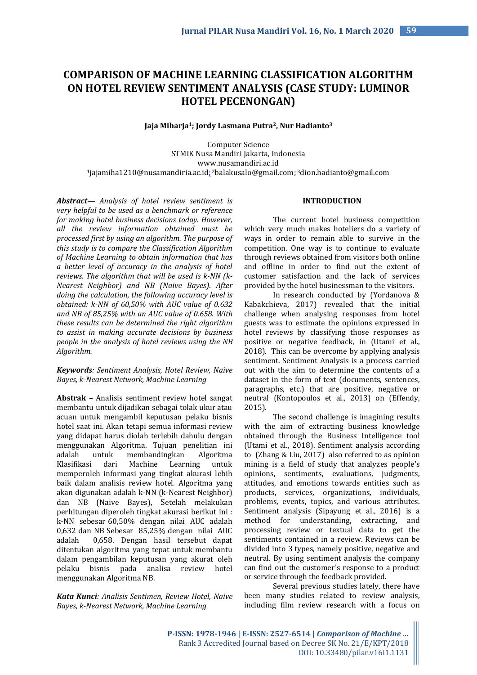# **COMPARISON OF MACHINE LEARNING CLASSIFICATION ALGORITHM ON HOTEL REVIEW SENTIMENT ANALYSIS (CASE STUDY: LUMINOR HOTEL PECENONGAN)**

#### **Jaja Miharja1; Jordy Lasmana Putra2, Nur Hadianto<sup>3</sup>**

Computer Science STMIK Nusa Mandiri Jakarta, Indonesia www.nusamandiri.ac.id <sup>1</sup>jajamiha1210@nusamandiria.ac.id<u>:</u> <sup>2</sup>balakusalo@gmail.com; <sup>3</sup>dion.hadianto@gmail.com

*Abstract— Analysis of hotel review sentiment is very helpful to be used as a benchmark or reference for making hotel business decisions today. However, all the review information obtained must be processed first by using an algorithm. The purpose of this study is to compare the Classification Algorithm of Machine Learning to obtain information that has a better level of accuracy in the analysis of hotel reviews. The algorithm that will be used is k-NN (k-Nearest Neighbor) and NB (Naive Bayes). After doing the calculation, the following accuracy level is obtained: k-NN of 60,50% with AUC value of 0.632 and NB of 85,25% with an AUC value of 0.658. With these results can be determined the right algorithm to assist in making accurate decisions by business people in the analysis of hotel reviews using the NB Algorithm.*

# *Keywords: Sentiment Analysis, Hotel Review, Naive Bayes, k-Nearest Network, Machine Learning*

**Abstrak –** Analisis sentiment review hotel sangat membantu untuk dijadikan sebagai tolak ukur atau acuan untuk mengambil keputusan pelaku bisnis hotel saat ini. Akan tetapi semua informasi review yang didapat harus diolah terlebih dahulu dengan menggunakan Algoritma. Tujuan penelitian ini adalah untuk membandingkan Algoritma Klasifikasi dari Machine Learning untuk memperoleh informasi yang tingkat akurasi lebih baik dalam analisis review hotel. Algoritma yang akan digunakan adalah k-NN (k-Nearest Neighbor) dan NB (Naive Bayes), Setelah melakukan perhitungan diperoleh tingkat akurasi berikut ini : k-NN sebesar 60,50% dengan nilai AUC adalah 0,632 dan NB Sebesar 85,25% dengan nilai AUC adalah 0,658. Dengan hasil tersebut dapat ditentukan algoritma yang tepat untuk membantu dalam pengambilan keputusan yang akurat oleh pelaku bisnis pada analisa review hotel menggunakan Algoritma NB.

*Kata Kunci: Analisis Sentimen, Review Hotel, Naive Bayes, k-Nearest Network, Machine Learning*

# **INTRODUCTION**

The current hotel business competition which very much makes hoteliers do a variety of ways in order to remain able to survive in the competition. One way is to continue to evaluate through reviews obtained from visitors both online and offline in order to find out the extent of customer satisfaction and the lack of services provided by the hotel businessman to the visitors.

In research conducted by (Yordanova & Kabakchieva, 2017) revealed that the initial challenge when analysing responses from hotel guests was to estimate the opinions expressed in hotel reviews by classifying those responses as positive or negative feedback, in (Utami et al., 2018). This can be overcome by applying analysis sentiment. Sentiment Analysis is a process carried out with the aim to determine the contents of a dataset in the form of text (documents, sentences, paragraphs, etc.) that are positive, negative or neutral (Kontopoulos et al., 2013) on (Effendy, 2015).

The second challenge is imagining results with the aim of extracting business knowledge obtained through the Business Intelligence tool (Utami et al., 2018). Sentiment analysis according to (Zhang & Liu, 2017) also referred to as opinion mining is a field of study that analyzes people's opinions, sentiments, evaluations, judgments, attitudes, and emotions towards entities such as products, services, organizations, individuals, problems, events, topics, and various attributes. Sentiment analysis (Sipayung et al., 2016) is a method for understanding, extracting, and processing review or textual data to get the sentiments contained in a review. Reviews can be divided into 3 types, namely positive, negative and neutral. By using sentiment analysis the company can find out the customer's response to a product or service through the feedback provided.

Several previous studies lately, there have been many studies related to review analysis, including film review research with a focus on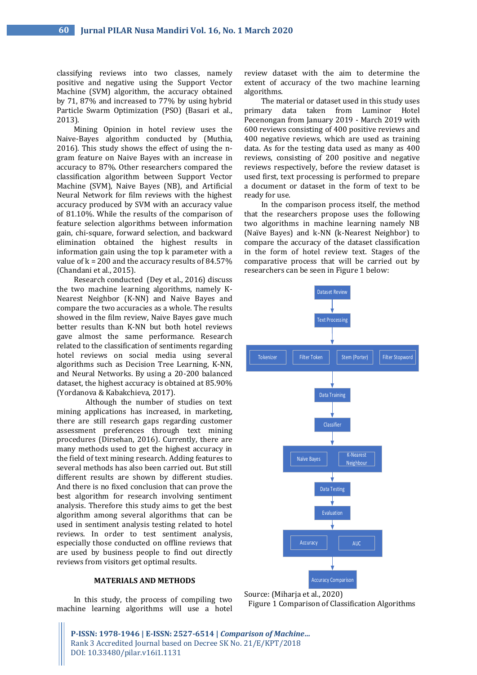classifying reviews into two classes, namely positive and negative using the Support Vector Machine (SVM) algorithm, the accuracy obtained by 71, 87% and increased to 77% by using hybrid Particle Swarm Optimization (PSO) (Basari et al., 2013).

Mining Opinion in hotel review uses the Naive-Bayes algorithm conducted by (Muthia, 2016). This study shows the effect of using the ngram feature on Naive Bayes with an increase in accuracy to 87%. Other researchers compared the classification algorithm between Support Vector Machine (SVM), Naive Bayes (NB), and Artificial Neural Network for film reviews with the highest accuracy produced by SVM with an accuracy value of 81.10%. While the results of the comparison of feature selection algorithms between information gain, chi-square, forward selection, and backward elimination obtained the highest results in information gain using the top k parameter with a value of  $k = 200$  and the accuracy results of 84.57% (Chandani et al., 2015).

Research conducted (Dey et al., 2016) discuss the two machine learning algorithms, namely K-Nearest Neighbor (K-NN) and Naive Bayes and compare the two accuracies as a whole. The results showed in the film review, Naive Bayes gave much better results than K-NN but both hotel reviews gave almost the same performance. Research related to the classification of sentiments regarding hotel reviews on social media using several algorithms such as Decision Tree Learning, K-NN, and Neural Networks. By using a 20-200 balanced dataset, the highest accuracy is obtained at 85.90% (Yordanova & Kabakchieva, 2017).

Although the number of studies on text mining applications has increased, in marketing, there are still research gaps regarding customer assessment preferences through text mining procedures (Dirsehan, 2016). Currently, there are many methods used to get the highest accuracy in the field of text mining research. Adding features to several methods has also been carried out. But still different results are shown by different studies. And there is no fixed conclusion that can prove the best algorithm for research involving sentiment analysis. Therefore this study aims to get the best algorithm among several algorithms that can be used in sentiment analysis testing related to hotel reviews. In order to test sentiment analysis, especially those conducted on offline reviews that are used by business people to find out directly reviews from visitors get optimal results.

#### **MATERIALS AND METHODS**

In this study, the process of compiling two machine learning algorithms will use a hotel

review dataset with the aim to determine the extent of accuracy of the two machine learning algorithms.

The material or dataset used in this study uses primary data taken from Luminor Hotel Pecenongan from January 2019 - March 2019 with 600 reviews consisting of 400 positive reviews and 400 negative reviews, which are used as training data. As for the testing data used as many as 400 reviews, consisting of 200 positive and negative reviews respectively, before the review dataset is used first, text processing is performed to prepare a document or dataset in the form of text to be ready for use.

In the comparison process itself, the method that the researchers propose uses the following two algorithms in machine learning namely NB (Naïve Bayes) and k-NN (k-Nearest Neighbor) to compare the accuracy of the dataset classification in the form of hotel review text. Stages of the comparative process that will be carried out by researchers can be seen in Figure 1 below:



Source: (Miharja et al., 2020) Figure 1 Comparison of Classification Algorithms

**P-ISSN: 1978-1946 | E-ISSN: 2527-6514 |** *Comparison of Machine…* Rank 3 Accredited Journal based on Decree SK No. 21/E/KPT/2018 DOI: 10.33480/pilar.v16i1.1131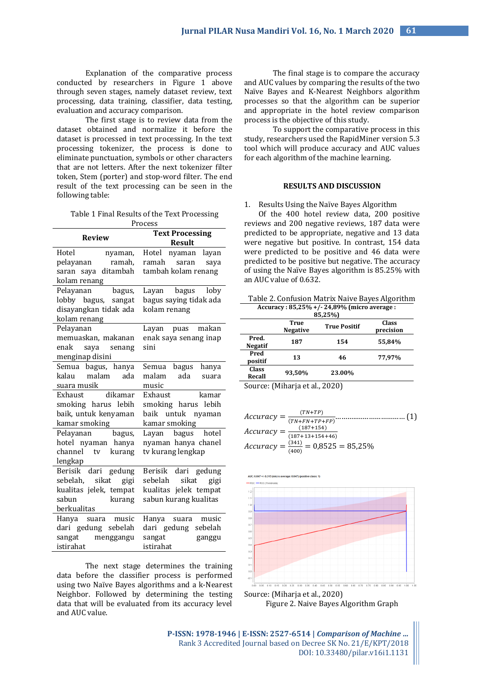Explanation of the comparative process conducted by researchers in Figure 1 above through seven stages, namely dataset review, text processing, data training, classifier, data testing, evaluation and accuracy comparison.

The first stage is to review data from the dataset obtained and normalize it before the dataset is processed in text processing. In the text processing tokenizer, the process is done to eliminate punctuation, symbols or other characters that are not letters. After the next tokenizer filter token, Stem (porter) and stop-word filter. The end result of the text processing can be seen in the following table:

Table 1 Final Results of the Text Processing Process

| <b>Review</b>                               | <b>Text Processing</b><br><b>Result</b> |  |
|---------------------------------------------|-----------------------------------------|--|
| Hotel<br>nyaman,                            | Hotel nyaman layan                      |  |
| pelayanan ramah,                            | ramah<br>saran<br>saya                  |  |
| saran saya ditambah                         | tambah kolam renang                     |  |
| kolam renang                                |                                         |  |
| Pelayanan<br>bagus,                         | Layan bagus loby                        |  |
| lobby bagus, sangat                         | bagus saying tidak ada                  |  |
| disayangkan tidak ada                       | kolam renang                            |  |
| kolam renang                                |                                         |  |
| Pelayanan                                   | Layan puas makan                        |  |
| memuaskan, makanan                          | enak saya senang inap                   |  |
| enak saya senang                            | sini                                    |  |
| menginap disini                             |                                         |  |
| Semua bagus, hanya                          | Semua bagus hanya                       |  |
| kalau malam ada                             | malam<br>ada<br>suara                   |  |
| suara musik                                 | music                                   |  |
| $\overline{\phantom{a}}$ dikamar<br>Exhaust | Exhaust<br>kamar                        |  |
| smoking harus lebih                         | smoking harus lebih                     |  |
| baik, untuk kenyaman                        | baik untuk nyaman                       |  |
| kamar smoking                               | kamar smoking                           |  |
| Pelayanan bagus,                            | Layan bagus hotel                       |  |
| hotel nyaman hanya                          | nyaman hanya chanel                     |  |
| channel tv kurang                           | tv kurang lengkap                       |  |
| lengkap                                     |                                         |  |
| Berisik dari gedung                         | Berisik dari gedung                     |  |
| sebelah, sikat gigi                         | sikat<br>sebelah<br>gigi                |  |
| kualitas jelek, tempat                      | kualitas jelek tempat                   |  |
| sabun<br>kurang                             | sabun kurang kualitas                   |  |
| berkualitas                                 |                                         |  |
| Hanya suara music                           | Hanya suara music                       |  |
| dari gedung sebelah                         | dari gedung sebelah                     |  |
| sangat menggangu                            | sangat                                  |  |
| istirahat                                   | ganggu<br>istirahat                     |  |
|                                             |                                         |  |

The next stage determines the training data before the classifier process is performed using two Naïve Bayes algorithms and a k-Nearest Neighbor. Followed by determining the testing data that will be evaluated from its accuracy level and AUC value.

The final stage is to compare the accuracy and AUC values by comparing the results of the two Naïve Bayes and K-Nearest Neighbors algorithm processes so that the algorithm can be superior and appropriate in the hotel review comparison process is the objective of this study.

To support the comparative process in this study, researchers used the RapidMiner version 5.3 tool which will produce accuracy and AUC values for each algorithm of the machine learning.

#### **RESULTS AND DISCUSSION**

#### 1. Results Using the Naïve Bayes Algorithm

Of the 400 hotel review data, 200 positive reviews and 200 negative reviews, 187 data were predicted to be appropriate, negative and 13 data were negative but positive. In contrast, 154 data were predicted to be positive and 46 data were predicted to be positive but negative. The accuracy of using the Naïve Bayes algorithm is 85.25% with an AUC value of 0.632.

| Table 2. Confusion Matrix Naive Bayes Algorithm |
|-------------------------------------------------|
| Accuracy: $85,25\% + (-24,89\%$ (micro average: |

| 85,25%)                 |                         |                     |                           |
|-------------------------|-------------------------|---------------------|---------------------------|
|                         | True<br><b>Negative</b> | <b>True Positif</b> | <b>Class</b><br>precision |
| Pred.<br><b>Negatif</b> | 187                     | 154                 | 55,84%                    |
| Pred<br>positif         | 13                      | 46                  | 77.97%                    |
| Class<br>Recall         | 93.50%                  | 23.00%              |                           |

Source: (Miharja et al., 2020)

$$
Accuracy = \frac{(TN+TP)}{(TN+FP+FP+FP)}
$$
................. (1)  
Accuracy = 
$$
\frac{(187+154)}{(187+13+154+46)}
$$
  
Accuracy = 
$$
\frac{(341)}{(400)} = 0,8525 = 85,25\%
$$



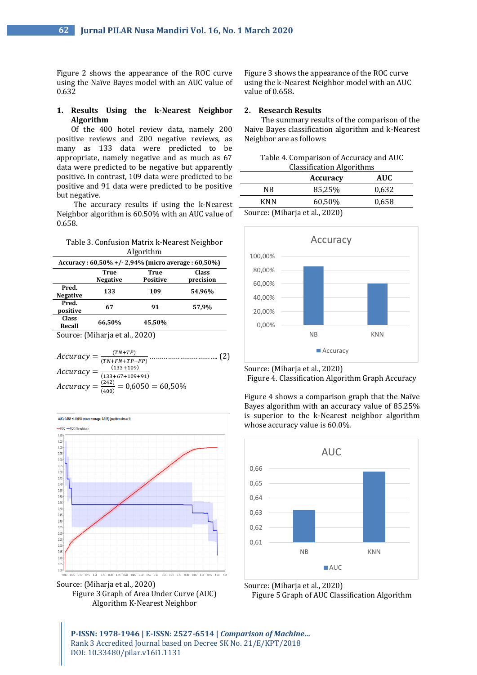Figure 2 shows the appearance of the ROC curve using the Naïve Bayes model with an AUC value of 0.632

## **1. Results Using the k-Nearest Neighbor Algorithm**

Of the 400 hotel review data, namely 200 positive reviews and 200 negative reviews, as many as 133 data were predicted to be appropriate, namely negative and as much as 67 data were predicted to be negative but apparently positive. In contrast, 109 data were predicted to be positive and 91 data were predicted to be positive but negative.

The accuracy results if using the k-Nearest Neighbor algorithm is 60.50% with an AUC value of 0.658.

| Table 3. Confusion Matrix k-Nearest Neighbor |
|----------------------------------------------|
| Algorithm                                    |

| Accuracy: $60,50\% + (-2,94\%$ (micro average: $60,50\%$ ) |                                |                  |                    |
|------------------------------------------------------------|--------------------------------|------------------|--------------------|
|                                                            | <b>True</b><br><b>Negative</b> | True<br>Positive | Class<br>precision |
| Pred.<br><b>Negative</b>                                   | 133                            | 109              | 54,96%             |
| Pred.<br>positive                                          | 67                             | 91               | 57,9%              |
| Class<br>Recall                                            | 66.50%                         | 45,50%           |                    |
|                                                            | Source: (Miharia et al         | 20201            |                    |

ource: (Miharja et al., 2020)

|                                        | $(TN+TP)$                                           |  |
|----------------------------------------|-----------------------------------------------------|--|
|                                        | $Accuracy = \frac{C}{(TN+FN+TP+FP)}$ .              |  |
|                                        | $(133+109)$                                         |  |
| $Accuracy = \frac{1}{(133+67+109+91)}$ |                                                     |  |
|                                        | $Accuracy = \frac{(242)}{(400)} = 0,6050 = 60,50\%$ |  |



Source: (Miharja et al., 2020) Figure 3 Graph of Area Under Curve (AUC) Algorithm K-Nearest Neighbor

Figure 3 shows the appearance of the ROC curve using the k-Nearest Neighbor model with an AUC value of 0.658**.**

## **2. Research Results**

The summary results of the comparison of the Naive Bayes classification algorithm and k-Nearest Neighbor are as follows:

| Table 4. Comparison of Accuracy and AUC |
|-----------------------------------------|
| <b>Classification Algorithms</b>        |

| - - - - - - - - - - -          |                 |            |  |
|--------------------------------|-----------------|------------|--|
|                                | <b>Accuracy</b> | <b>AUC</b> |  |
| NR                             | 85,25%          | 0.632      |  |
| <b>KNN</b>                     | 60,50%          | 0,658      |  |
| Source: (Miharja et al., 2020) |                 |            |  |



Source: (Miharja et al., 2020)

Figure 4. Classification Algorithm Graph Accuracy

Figure 4 shows a comparison graph that the Naïve Bayes algorithm with an accuracy value of 85.25% is superior to the k-Nearest neighbor algorithm whose accuracy value is 60.0%.





**P-ISSN: 1978-1946 | E-ISSN: 2527-6514 |** *Comparison of Machine…* Rank 3 Accredited Journal based on Decree SK No. 21/E/KPT/2018 DOI: 10.33480/pilar.v16i1.1131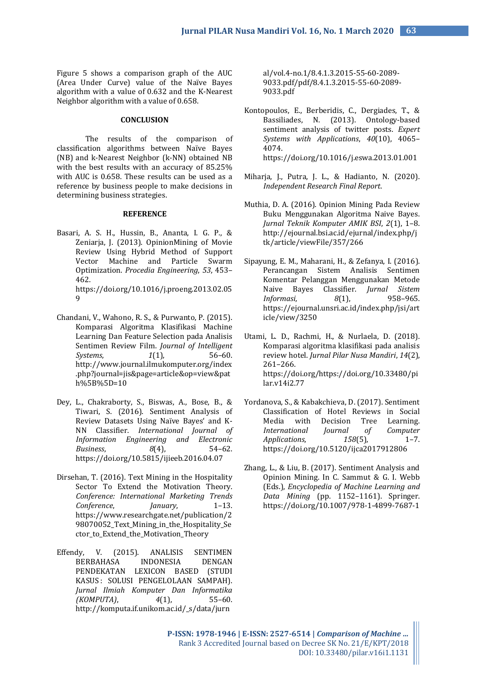Figure 5 shows a comparison graph of the AUC (Area Under Curve) value of the Naïve Bayes algorithm with a value of 0.632 and the K-Nearest Neighbor algorithm with a value of 0.658.

### **CONCLUSION**

The results of the comparison of classification algorithms between Naïve Bayes (NB) and k-Nearest Neighbor (k-NN) obtained NB with the best results with an accuracy of 85.25% with AUC is 0.658. These results can be used as a reference by business people to make decisions in determining business strategies.

## **REFERENCE**

Basari, A. S. H., Hussin, B., Ananta, I. G. P., & Zeniarja, J. (2013). OpinionMining of Movie Review Using Hybrid Method of Support Vector Machine and Particle Swarm Optimization. *Procedia Engineering*, *53*, 453– 462. https://doi.org/10.1016/j.proeng.2013.02.05

 $\Omega$ 

- Chandani, V., Wahono, R. S., & Purwanto, P. (2015). Komparasi Algoritma Klasifikasi Machine Learning Dan Feature Selection pada Analisis Sentimen Review Film. *Journal of Intelligent Systems*, *1*(1), 56–60. http://www.journal.ilmukomputer.org/index .php?journal=jis&page=article&op=view&pat h%5B%5D=10
- Dey, L., Chakraborty, S., Biswas, A., Bose, B., & Tiwari, S. (2016). Sentiment Analysis of Review Datasets Using Naïve Bayes' and K-NN Classifier. *International Journal of Information Engineering and Electronic Business*, *8*(4), 54–62. https://doi.org/10.5815/ijieeb.2016.04.07
- Dirsehan, T. (2016). Text Mining in the Hospitality Sector To Extend the Motivation Theory. *Conference: International Marketing Trends Conference*, *January*, 1–13. https://www.researchgate.net/publication/2 98070052\_Text\_Mining\_in\_the\_Hospitality\_Se ctor\_to\_Extend\_the\_Motivation\_Theory
- Effendy, V. (2015). ANALISIS SENTIMEN BERBAHASA INDONESIA DENGAN PENDEKATAN LEXICON BASED (STUDI KASUS : SOLUSI PENGELOLAAN SAMPAH). *Jurnal Ilmiah Komputer Dan Informatika (KOMPUTA)*, *4*(1), 55–60. http://komputa.if.unikom.ac.id/\_s/data/jurn

al/vol.4-no.1/8.4.1.3.2015-55-60-2089- 9033.pdf/pdf/8.4.1.3.2015-55-60-2089- 9033.pdf

- Kontopoulos, E., Berberidis, C., Dergiades, T., & Bassiliades, N. (2013). Ontology-based sentiment analysis of twitter posts. *Expert Systems with Applications*, *40*(10), 4065– 4074. https://doi.org/10.1016/j.eswa.2013.01.001
- Miharja, J., Putra, J. L., & Hadianto, N. (2020). *Independent Research Final Report*.
- Muthia, D. A. (2016). Opinion Mining Pada Review Buku Menggunakan Algoritma Naive Bayes. *Jurnal Teknik Komputer AMIK BSI*, *2*(1), 1–8. http://ejournal.bsi.ac.id/ejurnal/index.php/j tk/article/viewFile/357/266
- Sipayung, E. M., Maharani, H., & Zefanya, I. (2016). Perancangan Sistem Analisis Sentimen Komentar Pelanggan Menggunakan Metode Naive Bayes Classifier. *Jurnal Sistem Informasi*, *8*(1), 958–965. https://ejournal.unsri.ac.id/index.php/jsi/art icle/view/3250
- Utami, L. D., Rachmi, H., & Nurlaela, D. (2018). Komparasi algoritma klasifikasi pada analisis review hotel. *Jurnal Pilar Nusa Mandiri*, *14*(2), 261–266. https://doi.org/https://doi.org/10.33480/pi lar.v14i2.77
- Yordanova, S., & Kabakchieva, D. (2017). Sentiment Classification of Hotel Reviews in Social Media with Decision Tree Learning. *International Journal of Computer Applications*, *158*(5), 1–7. https://doi.org/10.5120/ijca2017912806
- Zhang, L., & Liu, B. (2017). Sentiment Analysis and Opinion Mining. In C. Sammut & G. I. Webb (Eds.), *Encyclopedia of Machine Learning and Data Mining* (pp. 1152–1161). Springer. https://doi.org/10.1007/978-1-4899-7687-1